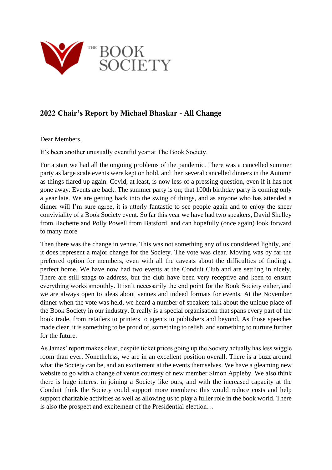

## **2022 Chair's Report by Michael Bhaskar - All Change**

Dear Members,

It's been another unusually eventful year at The Book Society.

For a start we had all the ongoing problems of the pandemic. There was a cancelled summer party as large scale events were kept on hold, and then several cancelled dinners in the Autumn as things flared up again. Covid, at least, is now less of a pressing question, even if it has not gone away. Events are back. The summer party is on; that 100th birthday party is coming only a year late. We are getting back into the swing of things, and as anyone who has attended a dinner will I'm sure agree, it is utterly fantastic to see people again and to enjoy the sheer conviviality of a Book Society event. So far this year we have had two speakers, David Shelley from Hachette and Polly Powell from Batsford, and can hopefully (once again) look forward to many more

Then there was the change in venue. This was not something any of us considered lightly, and it does represent a major change for the Society. The vote was clear. Moving was by far the preferred option for members, even with all the caveats about the difficulties of finding a perfect home. We have now had two events at the Conduit Club and are settling in nicely. There are still snags to address, but the club have been very receptive and keen to ensure everything works smoothly. It isn't necessarily the end point for the Book Society either, and we are always open to ideas about venues and indeed formats for events. At the November dinner when the vote was held, we heard a number of speakers talk about the unique place of the Book Society in our industry. It really is a special organisation that spans every part of the book trade, from retailers to printers to agents to publishers and beyond. As those speeches made clear, it is something to be proud of, something to relish, and something to nurture further for the future.

As James' report makes clear, despite ticket prices going up the Society actually has less wiggle room than ever. Nonetheless, we are in an excellent position overall. There is a buzz around what the Society can be, and an excitement at the events themselves. We have a gleaming new website to go with a change of venue courtesy of new member Simon Appleby. We also think there is huge interest in joining a Society like ours, and with the increased capacity at the Conduit think the Society could support more members: this would reduce costs and help support charitable activities as well as allowing us to play a fuller role in the book world. There is also the prospect and excitement of the Presidential election…